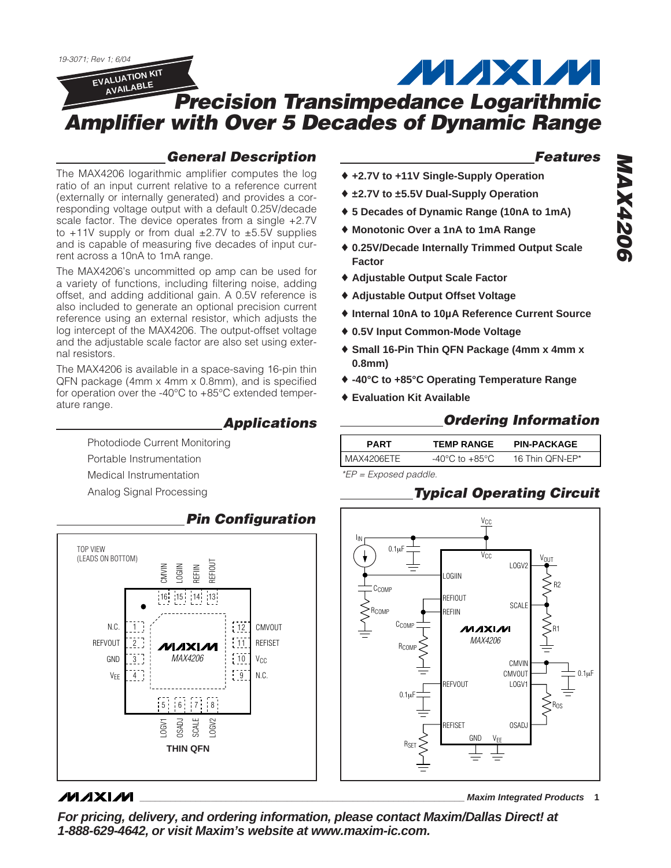*19-3071; Rev 1; 6/04* **MAXM EVALUATION KIT AVAILABLE** *Precision Transimpedance Logarithmic Amplifier with Over 5 Decades of Dynamic Range*

### *General Description*

The MAX4206 logarithmic amplifier computes the log ratio of an input current relative to a reference current (externally or internally generated) and provides a corresponding voltage output with a default 0.25V/decade scale factor. The device operates from a single +2.7V to  $+11V$  supply or from dual  $\pm 2.7V$  to  $\pm 5.5V$  supplies and is capable of measuring five decades of input current across a 10nA to 1mA range.

The MAX4206's uncommitted op amp can be used for a variety of functions, including filtering noise, adding offset, and adding additional gain. A 0.5V reference is also included to generate an optional precision current reference using an external resistor, which adjusts the log intercept of the MAX4206. The output-offset voltage and the adjustable scale factor are also set using external resistors.

The MAX4206 is available in a space-saving 16-pin thin QFN package (4mm x 4mm x 0.8mm), and is specified for operation over the -40°C to +85°C extended temperature range.

### *Applications*

Photodiode Current Monitoring Portable Instrumentation Medical Instrumentation Analog Signal Processing



### **MAXIM**

*Features*

- ♦ **+2.7V to +11V Single-Supply Operation**
- ♦ **±2.7V to ±5.5V Dual-Supply Operation**
- ♦ **5 Decades of Dynamic Range (10nA to 1mA)**
- ♦ **Monotonic Over a 1nA to 1mA Range**
- ♦ **0.25V/Decade Internally Trimmed Output Scale Factor**
- ♦ **Adjustable Output Scale Factor**
- ♦ **Adjustable Output Offset Voltage**
- ♦ **Internal 10nA to 10µA Reference Current Source**
- ♦ **0.5V Input Common-Mode Voltage**
- ♦ **Small 16-Pin Thin QFN Package (4mm x 4mm x 0.8mm)**
- ♦ **-40°C to +85°C Operating Temperature Range**
- ♦ **Evaluation Kit Available**

## *Ordering Information*

| <b>PART</b>  | <b>TEMP RANGE</b>                  | <b>PIN-PACKAGE</b> |  |
|--------------|------------------------------------|--------------------|--|
| ' MAX4206ETE | $-40^{\circ}$ C to $+85^{\circ}$ C | 16 Thin OFN-EP*    |  |

*\*EP = Exposed paddle.*

## *Typical Operating Circuit*



*MAX4206* **MAX4206** 

**\_\_\_\_\_\_\_\_\_\_\_\_\_\_\_\_\_\_\_\_\_\_\_\_\_\_\_\_\_\_\_\_\_\_\_\_\_\_\_\_\_\_\_\_\_\_\_\_\_\_\_\_\_\_\_\_\_\_\_\_\_\_\_\_ Maxim Integrated Products 1**

**For pricing, delivery, and ordering information, please contact Maxim/Dallas Direct! at 1-888-629-4642, or visit Maxim's website at www.maxim-ic.com.**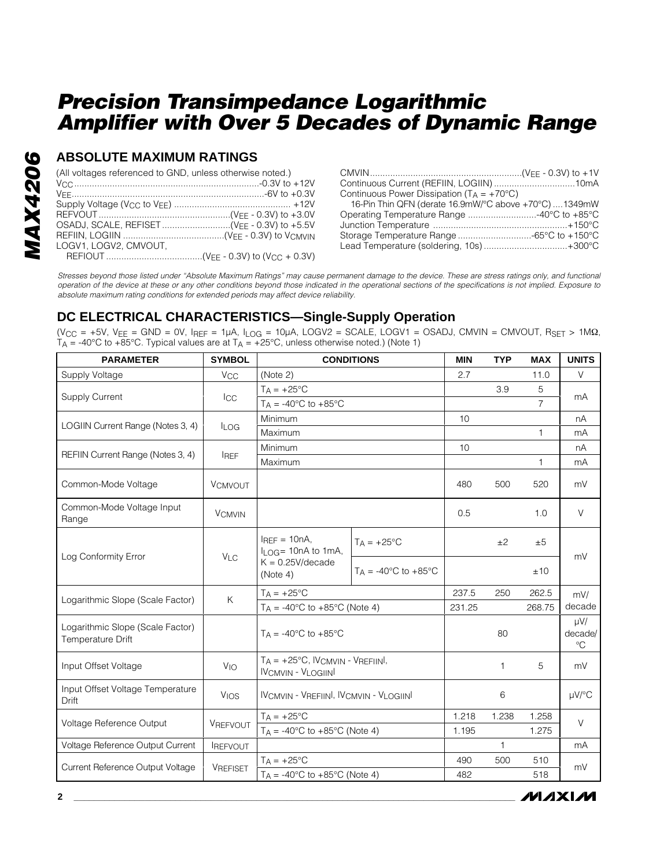### **ABSOLUTE MAXIMUM RATINGS**

| (All voltages referenced to GND, unless otherwise noted.) |                                                       |
|-----------------------------------------------------------|-------------------------------------------------------|
|                                                           |                                                       |
|                                                           | Continuous Power Dissipation ( $T_A = +70^{\circ}$ C) |
|                                                           | 16-Pin Thin QFN (derate 16.9mW/°C above +70°C) 1349mW |
|                                                           |                                                       |
|                                                           |                                                       |
|                                                           |                                                       |
| LOGV1, LOGV2, CMVOUT,                                     |                                                       |
|                                                           |                                                       |

*Stresses beyond those listed under "Absolute Maximum Ratings" may cause permanent damage to the device. These are stress ratings only, and functional operation of the device at these or any other conditions beyond those indicated in the operational sections of the specifications is not implied. Exposure to absolute maximum rating conditions for extended periods may affect device reliability.*

## **DC ELECTRICAL CHARACTERISTICS—Single-Supply Operation**

 $(V_{CC} = +5V, V_{EE} = GND = 0V, I_{REF} = 1\mu A, I_{LOG} = 10\mu A, LOGV2 = SCALE, LOGV1 = OSADI, CMVIN = CMVOUT, R_{SET} > 1MΩ,$  $T_A$  = -40°C to +85°C. Typical values are at  $T_A$  = +25°C, unless otherwise noted.) (Note 1)

| <b>PARAMETER</b>                                      | <b>SYMBOL</b>         |                                                                         | <b>CONDITIONS</b>                        | <b>MIN</b> | <b>TYP</b> | <b>MAX</b>     | <b>UNITS</b>                       |
|-------------------------------------------------------|-----------------------|-------------------------------------------------------------------------|------------------------------------------|------------|------------|----------------|------------------------------------|
| Supply Voltage                                        | <b>V<sub>CC</sub></b> | (Note 2)                                                                |                                          | 2.7        |            | 11.0           | $\vee$                             |
| <b>Supply Current</b>                                 |                       | $T_A = +25$ °C                                                          |                                          |            | 3.9        | 5              | mA                                 |
|                                                       | ICC                   | $T_A = -40$ °C to $+85$ °C                                              |                                          |            |            | $\overline{7}$ |                                    |
| LOGIIN Current Range (Notes 3, 4)                     |                       | Minimum                                                                 |                                          | 10         |            |                | nA                                 |
|                                                       | <b>ILOG</b>           | Maximum                                                                 |                                          |            |            | 1              | mA                                 |
| REFIIN Current Range (Notes 3, 4)                     | <b>IREF</b>           | Minimum                                                                 |                                          | 10         |            |                | nA                                 |
|                                                       |                       | Maximum                                                                 |                                          |            |            | 1              | mA                                 |
| Common-Mode Voltage                                   | <b>VCMVOUT</b>        |                                                                         |                                          | 480        | 500        | 520            | mV                                 |
| Common-Mode Voltage Input<br>Range                    | <b>VCMVIN</b>         |                                                                         |                                          | 0.5        |            | 1.0            | $\vee$                             |
| Log Conformity Error                                  | V <sub>LC</sub>       | $I_{REF} = 10nA$ ,<br>$I_{LOG}$ = 10nA to 1mA,                          | $T_A = +25$ °C                           |            | ±2         | ±5             | mV                                 |
|                                                       |                       | $K = 0.25$ V/decade<br>(Note 4)                                         | $T_A = -40^{\circ}$ C to $+85^{\circ}$ C |            |            | ±10            |                                    |
| Logarithmic Slope (Scale Factor)                      | K                     | $T_A = +25^{\circ}C$                                                    |                                          | 237.5      | 250        | 262.5          | mV/                                |
|                                                       |                       | $T_A = -40$ °C to $+85$ °C (Note 4)                                     |                                          | 231.25     |            | 268.75         | decade                             |
| Logarithmic Slope (Scale Factor)<br>Temperature Drift |                       | $T_A = -40^{\circ}$ C to $+85^{\circ}$ C                                |                                          |            | 80         |                | $\mu V/$<br>decade/<br>$^{\circ}C$ |
| Input Offset Voltage                                  | $V_{IO}$              | $T_A = +25^{\circ}C$ , IVCMVIN - VREFIINI,<br><b>IVCMVIN - VLOGIINI</b> |                                          |            | 1          | 5              | mV                                 |
| Input Offset Voltage Temperature<br>Drift             | VIOS                  | <b>IVCMVIN - VREFIINI, IVCMVIN - VLOGIINI</b>                           |                                          |            | 6          |                | µV/°C                              |
| Voltage Reference Output                              | VREFVOUT              | $T_A = +25^{\circ}C$                                                    |                                          | 1.218      | 1.238      | 1.258          | $\vee$                             |
|                                                       |                       | $T_A = -40^{\circ}$ C to $+85^{\circ}$ C (Note 4)                       |                                          | 1.195      |            | 1.275          |                                    |
| Voltage Reference Output Current                      | <b>IREFVOUT</b>       |                                                                         |                                          |            | 1          |                | mA                                 |
| Current Reference Output Voltage                      | <b>VREFISET</b>       | $T_A = +25^{\circ}C$                                                    |                                          | 490        | 500        | 510            | mV                                 |
|                                                       |                       | $T_A = -40^{\circ}$ C to $+85^{\circ}$ C (Note 4)                       |                                          | 482        |            | 518            |                                    |

**MAXIM**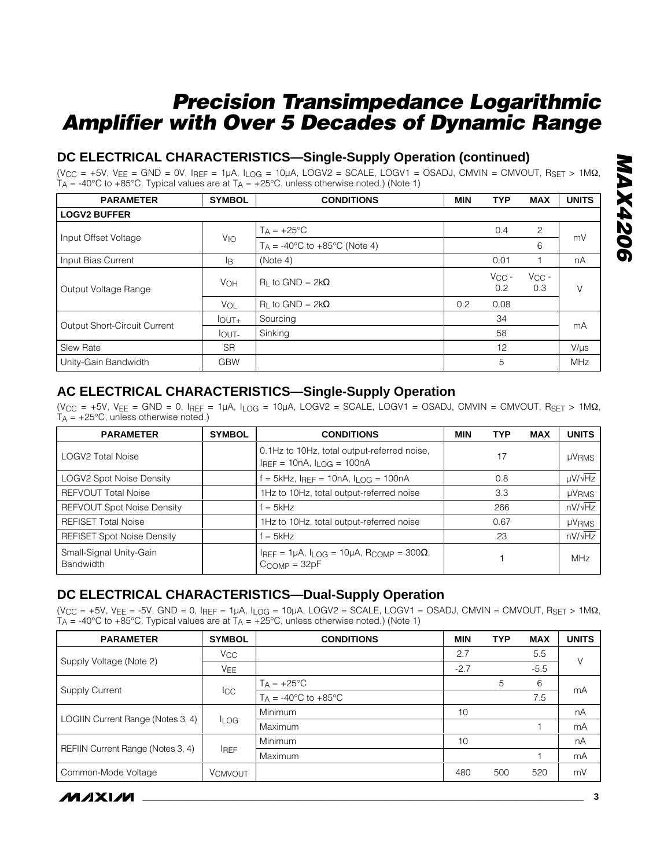## **DC ELECTRICAL CHARACTERISTICS—Single-Supply Operation (continued)**

 $(V_{CC} = +5V, V_{EE} = GND = 0V, I_{REF} = 1\mu A, I_{LOG} = 10\mu A, LOGV2 = SCALE, LOGV1 = OSADI, CMVIN = CMVOUT, RSET > 1MΩ,$  $T_A$  = -40°C to +85°C. Typical values are at  $T_A$  = +25°C, unless otherwise noted.) (Note 1)

| <b>PARAMETER</b>                    | <b>SYMBOL</b>     | <b>CONDITIONS</b>                                 | <b>MIN</b> | <b>TYP</b>        | <b>MAX</b>        | <b>UNITS</b> |
|-------------------------------------|-------------------|---------------------------------------------------|------------|-------------------|-------------------|--------------|
| <b>LOGV2 BUFFER</b>                 |                   |                                                   |            |                   |                   |              |
| Input Offset Voltage                |                   | $T_A = +25$ °C                                    |            | 0.4               | 2                 | mV           |
|                                     | $V_{IO}$          | $T_A = -40^{\circ}$ C to $+85^{\circ}$ C (Note 4) |            |                   | 6                 |              |
| Input Bias Current                  | lB.               | (Note 4)                                          |            | 0.01              |                   | nA           |
| Output Voltage Range                | <b>VOH</b>        | $R_1$ to GND = 2k $\Omega$                        |            | $V_{CC}$ -<br>0.2 | $V_{CC}$ -<br>0.3 | V            |
|                                     | VOL               | $R_1$ to GND = 2k $\Omega$                        | 0.2        | 0.08              |                   |              |
| <b>Output Short-Circuit Current</b> | $I_{\text{OUT+}}$ | Sourcing                                          |            | 34                |                   | mA           |
|                                     | lout-             | Sinking                                           |            | 58                |                   |              |
| <b>Slew Rate</b>                    | <b>SR</b>         |                                                   |            | 12                |                   | $V/\mu s$    |
| Unity-Gain Bandwidth                | <b>GBW</b>        |                                                   |            | 5                 |                   | <b>MHz</b>   |

### **AC ELECTRICAL CHARACTERISTICS—Single-Supply Operation**

 $(V_{CC} = +5V, V_{EE} = GND = 0, I_{REF} = 1\mu A, I_{LOG} = 10\mu A, LOGV2 = SCALE, LOGV1 = OSADI, CMVIN = CMVOUT, RSET > 1MΩ,$  $T_A$  = +25°C, unless otherwise noted.)

| <b>PARAMETER</b>                            | <b>SYMBOL</b> | <b>CONDITIONS</b>                                                                | <b>MIN</b> | <b>TYP</b> | <b>MAX</b> | <b>UNITS</b>      |
|---------------------------------------------|---------------|----------------------------------------------------------------------------------|------------|------------|------------|-------------------|
| <b>LOGV2 Total Noise</b>                    |               | 0.1Hz to 10Hz, total output-referred noise,<br>$I_{REF} = 10nA, I_{LOG} = 100nA$ |            | 17         |            | µVRMS             |
| <b>LOGV2 Spot Noise Density</b>             |               | $=$ 5kHz, Igee = 10nA, ILOG = 100nA                                              |            | 0.8        |            | $\mu V/\sqrt{Hz}$ |
| <b>REFVOUT Total Noise</b>                  |               | 1Hz to 10Hz, total output-referred noise                                         |            | 3.3        |            | <b>µVRMS</b>      |
| <b>REFVOUT Spot Noise Density</b>           |               | $f = 5kHz$                                                                       |            | 266        |            | $nV/\sqrt{Hz}$    |
| <b>REFISET Total Noise</b>                  |               | 1Hz to 10Hz, total output-referred noise                                         |            | 0.67       |            | <b>µVRMS</b>      |
| <b>REFISET Spot Noise Density</b>           |               | $f = 5kHz$                                                                       |            | 23         |            | $nV/\sqrt{Hz}$    |
| Small-Signal Unity-Gain<br><b>Bandwidth</b> |               | IREF = $1\mu$ A, ILOG = $10\mu$ A, RCOMP = $300\Omega$ ,<br>$C_{COMP} = 32pF$    |            |            |            | <b>MHz</b>        |

### **DC ELECTRICAL CHARACTERISTICS—Dual-Supply Operation**

 $(V_{CC} = +5V, V_{EE} = -5V, GND = 0, I_{REF} = 1\mu A, I_{LOG} = 10\mu A, LOGV2 = SCALE, LOGV1 = OSADI, CMVIN = CMVOUT, RSET > 1MΩ,$  $T_A$  = -40°C to +85°C. Typical values are at  $T_A$  = +25°C, unless otherwise noted.) (Note 1)

| <b>PARAMETER</b>                  | <b>SYMBOL</b>         | <b>CONDITIONS</b>                      | <b>MIN</b> | <b>TYP</b> | <b>MAX</b> | <b>UNITS</b> |
|-----------------------------------|-----------------------|----------------------------------------|------------|------------|------------|--------------|
|                                   | <b>V<sub>CC</sub></b> |                                        | 2.7        |            | 5.5        | $\vee$       |
| Supply Voltage (Note 2)           | VEE                   |                                        | $-2.7$     |            | $-5.5$     |              |
| <b>Supply Current</b>             |                       | $T_A = +25^{\circ}C$                   |            | 5          | 6          | mA           |
|                                   | <b>I</b> CC           | $T_A = -40^{\circ}C$ to $+85^{\circ}C$ |            |            | 7.5        |              |
| LOGIIN Current Range (Notes 3, 4) |                       | Minimum                                | 10         |            |            | nA           |
|                                   | <b>ILOG</b>           | Maximum                                |            |            |            | mA           |
| REFIIN Current Range (Notes 3, 4) |                       | Minimum                                | 10         |            |            | nA           |
|                                   | <b>IREF</b>           | Maximum                                |            |            |            | mA           |
| Common-Mode Voltage               | <b>VCMVOUT</b>        |                                        | 480        | 500        | 520        | mV           |

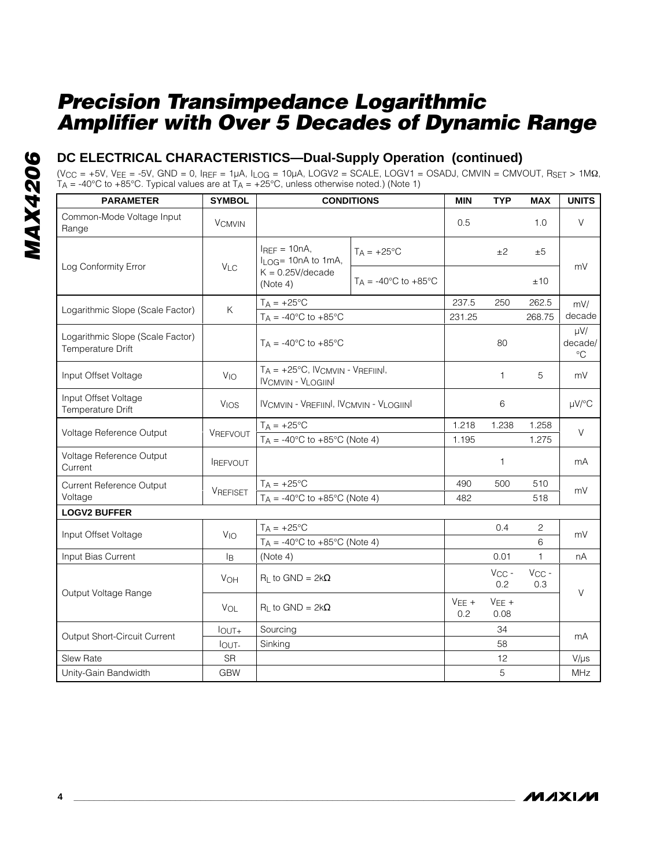### **DC ELECTRICAL CHARACTERISTICS—Dual-Supply Operation (continued)**

 $(V_{CC} = +5V, V_{EE} = -5V, GND = 0, I_{REF} = 1\mu A, I_{LOG} = 10\mu A, LOGV2 = SCALE, LOGV1 = OSADI, CMVIN = CMVOUT, RSET > 1MΩ,$  $T_A$  = -40°C to +85°C. Typical values are at  $T_A$  = +25°C, unless otherwise noted.) (Note 1)

| <b>PARAMETER</b>                                      | <b>SYMBOL</b>         |                                                                         | <b>CONDITIONS</b>                        | <b>MIN</b>     | <b>TYP</b>        | <b>MAX</b>        | <b>UNITS</b>                       |
|-------------------------------------------------------|-----------------------|-------------------------------------------------------------------------|------------------------------------------|----------------|-------------------|-------------------|------------------------------------|
| Common-Mode Voltage Input<br>Range                    | <b>VCMVIN</b>         |                                                                         |                                          | 0.5            |                   | 1.0               | V                                  |
|                                                       | <b>VLC</b>            | $I_{REF} = 10nA$ ,<br>$I_{LOG}$ = 10nA to 1mA,                          | $T_A = +25^{\circ}C$                     |                | ±2                | ±5                | mV                                 |
| Log Conformity Error                                  |                       | $K = 0.25$ V/decade<br>(Note 4)                                         | $T_A = -40^{\circ}$ C to $+85^{\circ}$ C |                |                   | ±10               |                                    |
|                                                       | K.                    | $T_A = +25$ °C                                                          |                                          | 237.5          | 250               | 262.5             | mV/                                |
| Logarithmic Slope (Scale Factor)                      |                       | $T_A = -40^{\circ}C$ to $+85^{\circ}C$                                  |                                          | 231.25         |                   | 268.75            | decade                             |
| Logarithmic Slope (Scale Factor)<br>Temperature Drift |                       | $T_A = -40^{\circ}$ C to $+85^{\circ}$ C                                |                                          |                | 80                |                   | $\mu V/$<br>decade/<br>$^{\circ}C$ |
| Input Offset Voltage                                  | <b>V<sub>IO</sub></b> | $T_A = +25^{\circ}C$ , IVCMVIN - VREFIINI,<br><b>IVCMVIN - VLOGIINI</b> |                                          |                | $\mathbf{1}$      | 5                 | mV                                 |
| Input Offset Voltage<br>Temperature Drift             | <b>VIOS</b>           | <b>IVCMVIN - VREFIINI, IVCMVIN - VLOGIINI</b>                           |                                          |                | 6                 |                   | $\mu V$ /°C                        |
|                                                       |                       | $T_A = +25^{\circ}C$                                                    |                                          | 1.218          | 1.238             | 1.258             | V                                  |
| Voltage Reference Output                              | VREFVOUT              | $T_A = -40$ °C to $+85$ °C (Note 4)                                     |                                          | 1.195          |                   | 1.275             |                                    |
| Voltage Reference Output<br>Current                   | <b>IREFVOUT</b>       |                                                                         |                                          |                | 1                 |                   | mA                                 |
| <b>Current Reference Output</b>                       | <b>VREFISET</b>       | $T_A = +25$ °C                                                          |                                          | 490            | 500               | 510               | mV                                 |
| Voltage                                               |                       | $T_A = -40^{\circ}$ C to $+85^{\circ}$ C (Note 4)                       |                                          | 482            |                   | 518               |                                    |
| <b>LOGV2 BUFFER</b>                                   |                       |                                                                         |                                          |                |                   |                   |                                    |
| Input Offset Voltage                                  | <b>V<sub>IO</sub></b> | $T_A = +25^{\circ}C$                                                    |                                          |                | 0.4               | 2                 | mV                                 |
|                                                       |                       | $T_A = -40^{\circ}$ C to $+85^{\circ}$ C (Note 4)                       |                                          |                |                   | 6                 |                                    |
| Input Bias Current                                    | lB.                   | (Note 4)                                                                |                                          |                | 0.01              | 1                 | nA                                 |
| Output Voltage Range                                  | VOH                   | $R_L$ to GND = 2k $\Omega$                                              |                                          |                | $V_{CC}$ -<br>0.2 | $V_{CC}$ -<br>0.3 |                                    |
|                                                       | VOL                   | $R_1$ to GND = 2k $\Omega$                                              |                                          | $VEE +$<br>0.2 | $VEE +$<br>0.08   |                   | $\vee$                             |
|                                                       | $I_{\text{OUT+}}$     | Sourcing                                                                |                                          |                | 34                |                   |                                    |
| Output Short-Circuit Current                          | lout-                 | Sinking                                                                 |                                          |                | 58                |                   | mA                                 |
| Slew Rate                                             | <b>SR</b>             |                                                                         |                                          |                | 12                |                   | $V/\mu s$                          |
| Unity-Gain Bandwidth                                  | <b>GBW</b>            |                                                                         |                                          |                | 5                 |                   | MHz                                |

**MAXM**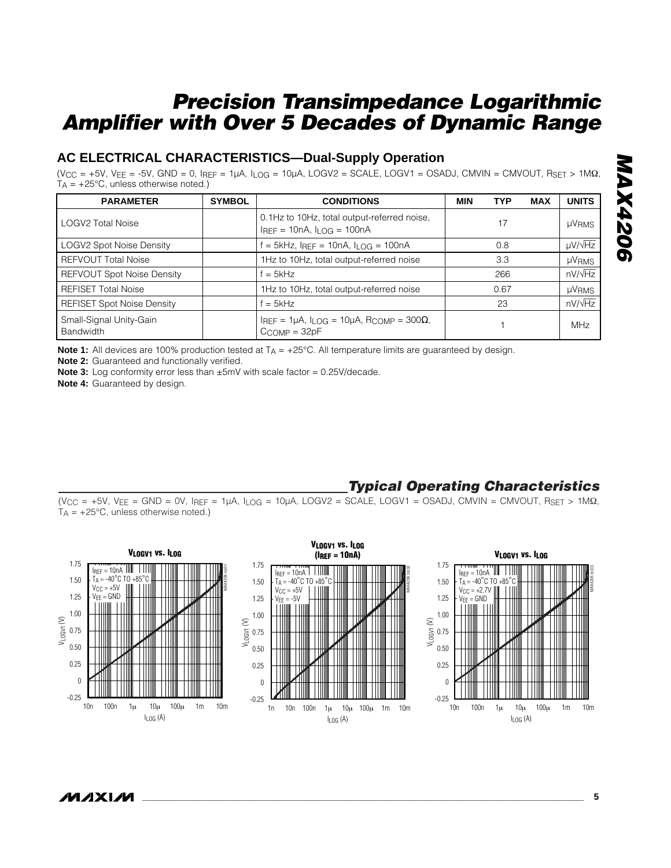### **AC ELECTRICAL CHARACTERISTICS—Dual-Supply Operation**

 $(V_{CC} = +5V, V_{EE} = -5V, GND = 0, I_{REF} = 1\mu A, I_{LOG} = 10\mu A, LOGV2 = SCALE, LOGV1 = OSADI, CMVIN = CMVOUT, R_{SET} > 1MΩ,$  $T_A = +25^{\circ}$ C, unless otherwise noted.)

| <b>PARAMETER</b>                     | <b>SYMBOL</b> | <b>CONDITIONS</b>                                                                                     | <b>MIN</b> | <b>TYP</b> | MAX | <b>UNITS</b>      |
|--------------------------------------|---------------|-------------------------------------------------------------------------------------------------------|------------|------------|-----|-------------------|
| <b>LOGV2 Total Noise</b>             |               | 0.1Hz to 10Hz, total output-referred noise,<br>$I_{REF} = 10nA, I_{LOG} = 100nA$                      |            | 17         |     | <b>µVRMS</b>      |
| <b>LOGV2 Spot Noise Density</b>      |               | $f = 5kHz$ , IREF = 10nA, ILOG = 100nA                                                                |            | 0.8        |     | $\mu V/\sqrt{Hz}$ |
| <b>REFVOUT Total Noise</b>           |               | 1Hz to 10Hz, total output-referred noise                                                              |            | 3.3        |     | <b>µVRMS</b>      |
| <b>REFVOUT Spot Noise Density</b>    |               | $f = 5kHz$                                                                                            |            | 266        |     | $nV/\sqrt{Hz}$    |
| <b>REFISET Total Noise</b>           |               | 1Hz to 10Hz, total output-referred noise                                                              |            | 0.67       |     | <b>µVRMS</b>      |
| <b>REFISET Spot Noise Density</b>    |               | $f = 5kHz$                                                                                            |            | 23         |     | $nV/\sqrt{Hz}$    |
| Small-Signal Unity-Gain<br>Bandwidth |               | IREF = $1\mu$ A, I <sub>LOG</sub> = $10\mu$ A, R <sub>COMP</sub> = $300\Omega$ ,<br>$C_{COMP} = 32pF$ |            |            |     | <b>MHz</b>        |

**Note 1:** All devices are 100% production tested at T<sub>A</sub> = +25°C. All temperature limits are guaranteed by design.

**Note 2:** Guaranteed and functionally verified.

**Note 3:** Log conformity error less than  $\pm 5$ mV with scale factor = 0.25V/decade.

**Note 4:** Guaranteed by design.

### *Typical Operating Characteristics*

 $(V_{CC} = +5V, V_{EE} = GND = 0V, I_{REF} = 1\mu A, I_{LOG} = 10\mu A, LOGV2 = SCALE, LOGV1 = OSADJ, CMVIN = CMVOUT, RSET > 1MΩ,$  $T_A = +25^{\circ}C$ , unless otherwise noted.)



 $\mu$  $\lambda$  $\lambda$   $\mu$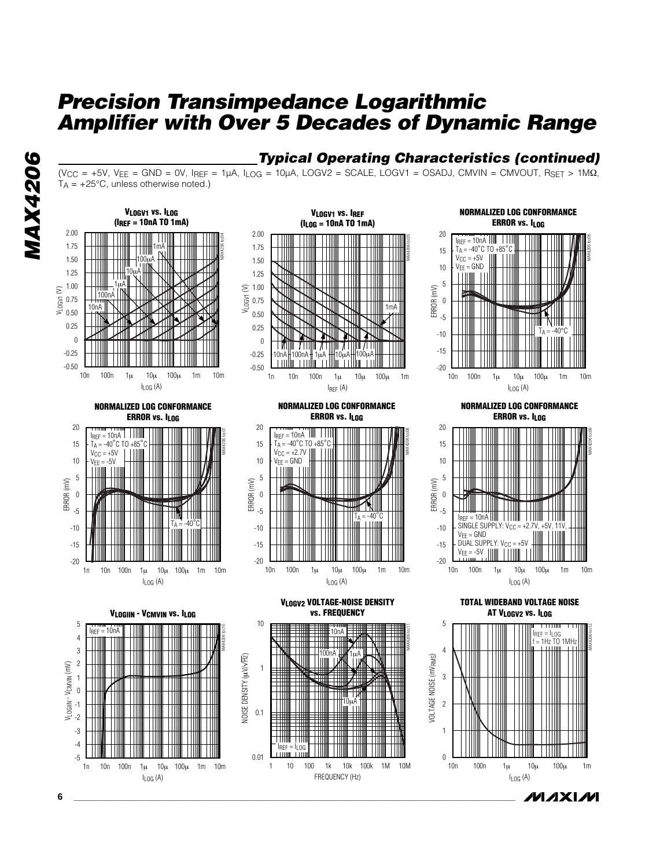

### *Typical Operating Characteristics (continued)*

 $(V_{CC} = +5V, V_{EE} = GND = 0V, I_{REF} = 1\mu A, I_{LOG} = 10\mu A, LOGV2 = SCALE, LOGV1 = OSADI, CMVIN = CMVOUT, RSET > 1MΩ,$  $T_A = +25^{\circ}$ C, unless otherwise noted.)

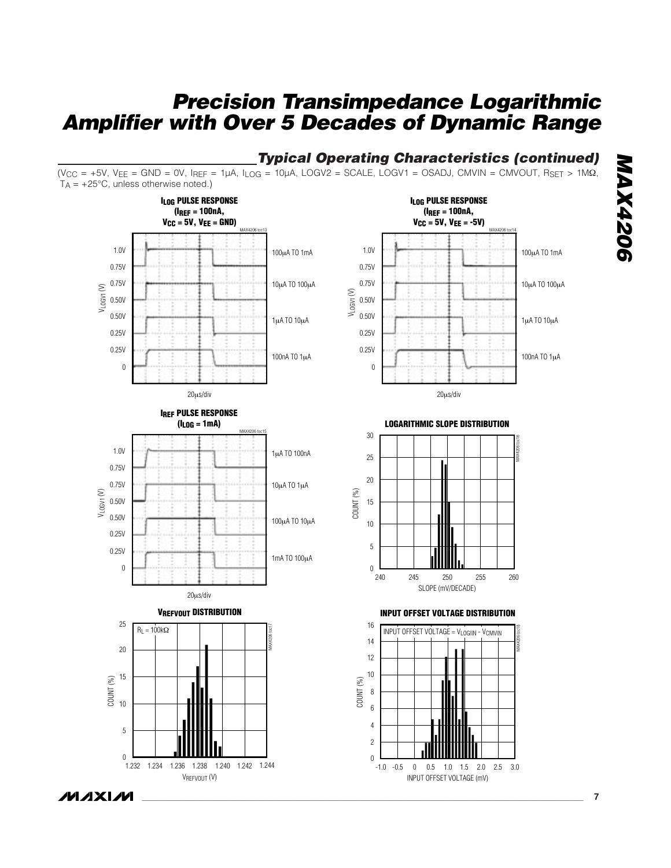## *Typical Operating Characteristics (continued)*

 $(V_{CC} = +5V, V_{EE} = GND = 0V, I_{REF} = 1\mu A, I_{LOG} = 10\mu A, LOGV2 = SCALE, LOGV1 = OSADI, CMVIN = CMVOUT, R_{SET} > 1\mu A, I_{IG} = 10\mu A, I_{IG} = 10\mu A, I_{IG} = 10\mu A, I_{IG} = 10\mu A, I_{IG} = 10\mu A, I_{IG} = 10\mu A, I_{IG} = 10\mu A, I_{IG} = 10\mu A, I_{IG} = 10\mu A, I_{IG} = 10\mu A, I_{IG} = 10\mu A, I_{IG} = 10\mu A$  $T_A = +25^{\circ}C$ , unless otherwise noted.)



**MAX4206** *MAX4206*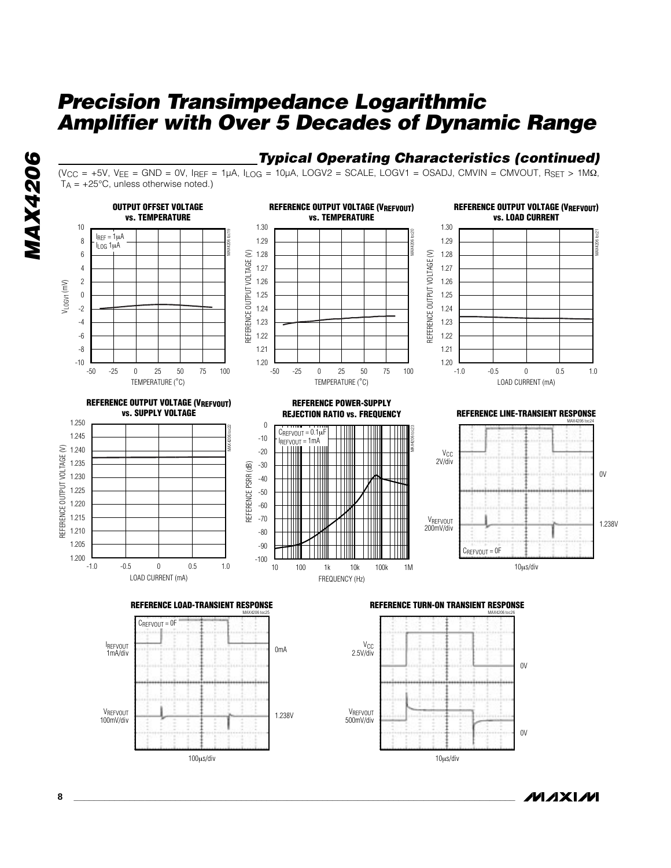

### *Typical Operating Characteristics (continued)*

10µs/div

**MAXIM** 

 $(V_{CC} = +5V, V_{EE} = GND = 0V, I_{REF} = 1\mu A, I_{LOG} = 10\mu A, LOGV2 = SCALE, LOGV1 = OSADI, CMVIN = CMVOUT, R_{SET} > 1\mu A, I_{GCH} = 10\mu A, I_{GCH} = 10\mu A, I_{GCH} = 10\mu A, I_{GCH} = 10\mu A, I_{GCH} = 10\mu A, I_{GCH} = 10\mu A, I_{GCH} = 10\mu A, I_{GCH} = 10\mu A, I_{GCH} = 10\mu A, I_{GCH} = 10\mu A, I_{GCH} = 10\mu A,$  $T_A = +25^{\circ}C$ , unless otherwise noted.)



**8 \_\_\_\_\_\_\_\_\_\_\_\_\_\_\_\_\_\_\_\_\_\_\_\_\_\_\_\_\_\_\_\_\_\_\_\_\_\_\_\_\_\_\_\_\_\_\_\_\_\_\_\_\_\_\_\_\_\_\_\_\_\_\_\_\_\_\_\_\_\_\_\_\_\_\_\_\_\_\_\_\_\_\_\_\_\_\_**

100µs/div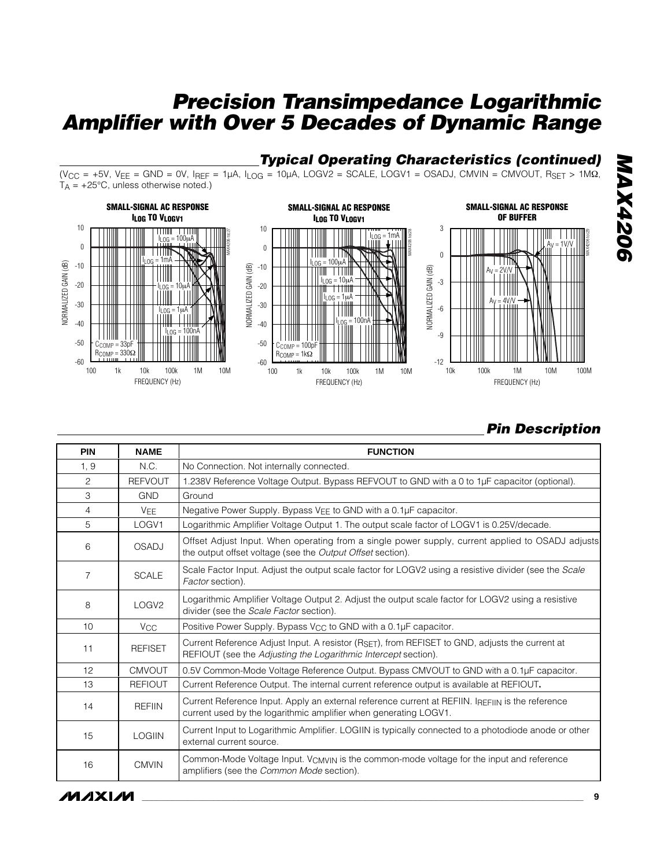### *Typical Operating Characteristics (continued)*

 $(V_{CC} = +5V, V_{EE} = GND = 0V, I_{REF} = 1\mu A, I_{LOG} = 10\mu A, LOGV2 = SCALE, LOGV1 = OSADI, CMVIN = CMVOUT, RSET > 1MΩ,$  $T_A = +25^{\circ}C$ , unless otherwise noted.)



## *Pin Description*

| <b>PIN</b>      | <b>NAME</b>       | <b>FUNCTION</b>                                                                                                                                                       |
|-----------------|-------------------|-----------------------------------------------------------------------------------------------------------------------------------------------------------------------|
| 1, 9            | N.C.              | No Connection. Not internally connected.                                                                                                                              |
| $\overline{c}$  | <b>REFVOUT</b>    | 1.238V Reference Voltage Output. Bypass REFVOUT to GND with a 0 to 1µF capacitor (optional).                                                                          |
| 3               | <b>GND</b>        | Ground                                                                                                                                                                |
| 4               | <b>VEE</b>        | Negative Power Supply. Bypass VEE to GND with a 0.1µF capacitor.                                                                                                      |
| 5               | LOGV1             | Logarithmic Amplifier Voltage Output 1. The output scale factor of LOGV1 is 0.25V/decade.                                                                             |
| 6               | <b>OSADJ</b>      | Offset Adjust Input. When operating from a single power supply, current applied to OSADJ adjusts<br>the output offset voltage (see the <i>Output Offset</i> section). |
| 7               | <b>SCALE</b>      | Scale Factor Input. Adjust the output scale factor for LOGV2 using a resistive divider (see the Scale<br>Factor section).                                             |
| 8               | LOGV <sub>2</sub> | Logarithmic Amplifier Voltage Output 2. Adjust the output scale factor for LOGV2 using a resistive<br>divider (see the Scale Factor section).                         |
| 10 <sup>1</sup> | V <sub>CC</sub>   | Positive Power Supply. Bypass V <sub>CC</sub> to GND with a 0.1µF capacitor.                                                                                          |
| 11              | <b>REFISET</b>    | Current Reference Adjust Input. A resistor (RSFT), from REFISET to GND, adjusts the current at<br>REFIOUT (see the Adjusting the Logarithmic Intercept section).      |
| 12              | <b>CMVOUT</b>     | 0.5V Common-Mode Voltage Reference Output. Bypass CMVOUT to GND with a 0.1µF capacitor.                                                                               |
| 13              | <b>REFIOUT</b>    | Current Reference Output. The internal current reference output is available at REFIOUT.                                                                              |
| 14              | <b>REFIIN</b>     | Current Reference Input. Apply an external reference current at REFIIN. IREFIIN is the reference<br>current used by the logarithmic amplifier when generating LOGV1.  |
| 15              | <b>LOGIIN</b>     | Current Input to Logarithmic Amplifier. LOGIIN is typically connected to a photodiode anode or other<br>external current source.                                      |
| 16              | <b>CMVIN</b>      | Common-Mode Voltage Input. V <sub>CMVIN</sub> is the common-mode voltage for the input and reference<br>amplifiers (see the Common Mode section).                     |

## **MAXIM**

**MAX4206** *MAX4206*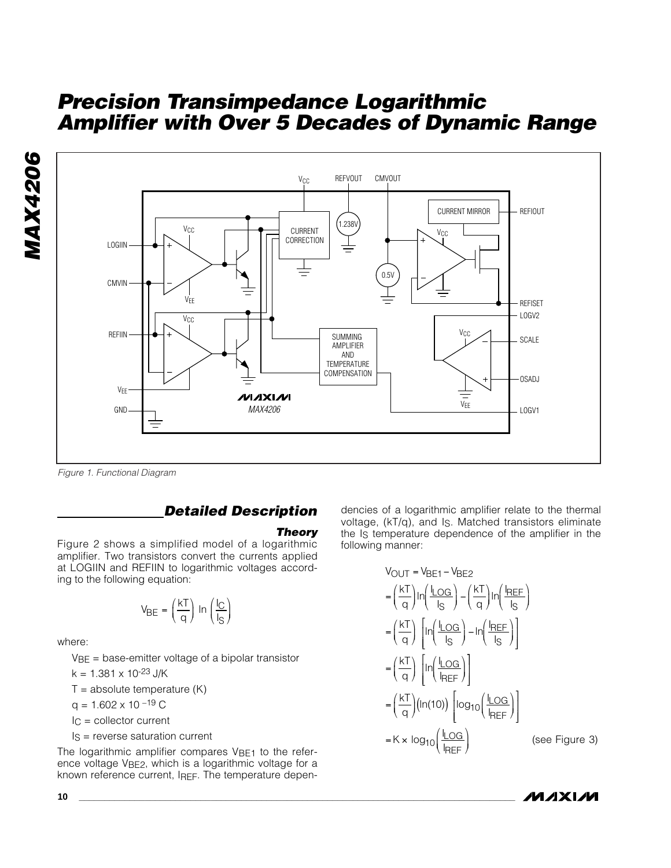



*Figure 1. Functional Diagram*

### *Detailed Description*

#### *Theory*

Figure 2 shows a simplified model of a logarithmic amplifier. Two transistors convert the currents applied at LOGIIN and REFIIN to logarithmic voltages according to the following equation:

$$
V_{BE} = \left(\frac{kT}{q}\right) \ln\left(\frac{I_C}{I_S}\right)
$$

where:

 $V_{BE}$  = base-emitter voltage of a bipolar transistor

 $k = 1.381 \times 10^{-23}$  J/K

 $T =$  absolute temperature  $(K)$ 

 $q = 1.602 \times 10^{-19}$  C

$$
I_C = \text{collector current}
$$

 $Is = reverse saturation current$ 

The logarithmic amplifier compares  $V_{BE1}$  to the reference voltage VBE2, which is a logarithmic voltage for a known reference current, IREF. The temperature dependencies of a logarithmic amplifier relate to the thermal voltage, (kT/q), and IS. Matched transistors eliminate the Is temperature dependence of the amplifier in the following manner:

$$
V_{OUT} = V_{BE1} - V_{BE2}
$$
\n
$$
= \left(\frac{kT}{q}\right) \ln\left(\frac{I_{LOG}}{I_S}\right) - \left(\frac{kT}{q}\right) \ln\left(\frac{I_{REF}}{I_S}\right)
$$
\n
$$
= \left(\frac{kT}{q}\right) \left[ \ln\left(\frac{I_{LOG}}{I_S}\right) - \ln\left(\frac{I_{REF}}{I_S}\right) \right]
$$
\n
$$
= \left(\frac{kT}{q}\right) \left[ \ln\left(\frac{I_{LOG}}{I_{REF}}\right) \right]
$$
\n
$$
= \left(\frac{kT}{q}\right) \left( \ln(10) \right) \left[ \log_{10}\left(\frac{I_{LOG}}{I_{REF}}\right) \right]
$$
\n
$$
= K \times \log_{10}\left(\frac{I_{LOG}}{I_{REF}}\right) \qquad \text{(see Figure 3)}
$$

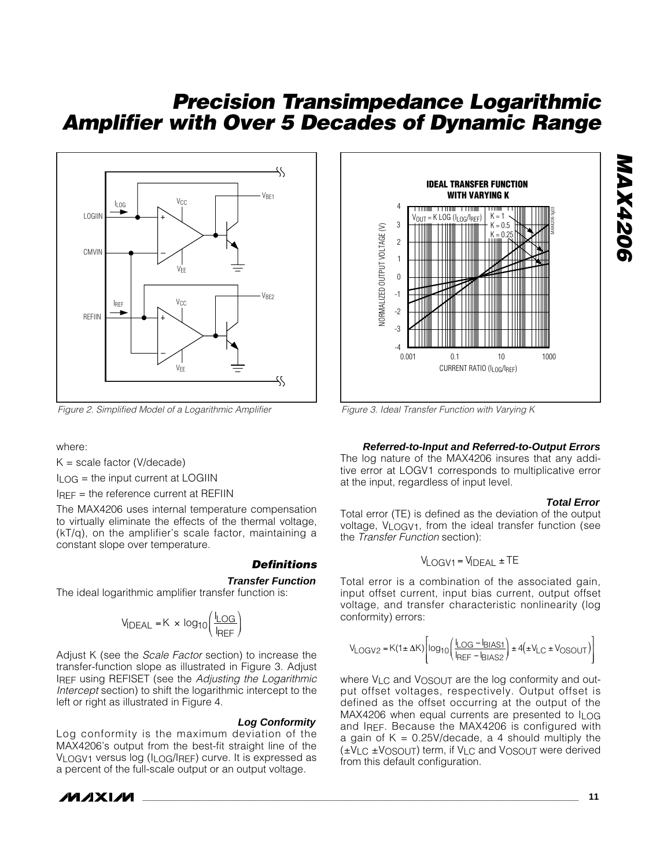

*Figure 2. Simplified Model of a Logarithmic Amplifier*

where:

 $K = scale factor (V/decade)$ 

 $I<sub>I</sub>$  og = the input current at LOGIIN

IREF = the reference current at REFIIN

The MAX4206 uses internal temperature compensation to virtually eliminate the effects of the thermal voltage, (kT/q), on the amplifier's scale factor, maintaining a constant slope over temperature.

#### *Definitions*

#### **Transfer Function**

The ideal logarithmic amplifier transfer function is:

$$
V_{\text{IDEAL}} = K \times \log_{10} \left( \frac{I_{\text{LOG}}}{I_{\text{REF}}} \right)
$$

Adjust K (see the *Scale Factor* section) to increase the transfer-function slope as illustrated in Figure 3. Adjust IREF using REFISET (see the *Adjusting the Logarithmic Intercept* section) to shift the logarithmic intercept to the left or right as illustrated in Figure 4.

#### **Log Conformity**

Log conformity is the maximum deviation of the MAX4206's output from the best-fit straight line of the VLOGV1 versus log (ILOG/IREF) curve. It is expressed as a percent of the full-scale output or an output voltage.





*Figure 3. Ideal Transfer Function with Varying K*

#### **Referred-to-Input and Referred-to-Output Errors**

The log nature of the MAX4206 insures that any additive error at LOGV1 corresponds to multiplicative error at the input, regardless of input level.

#### **Total Error**

*MAX4206*

**MAX4206** 

Total error (TE) is defined as the deviation of the output voltage, VLOGV1, from the ideal transfer function (see the *Transfer Function* section):

$$
V_{LOGV1} = V_{IDEAL} \pm TE
$$

Total error is a combination of the associated gain, input offset current, input bias current, output offset voltage, and transfer characteristic nonlinearity (log conformity) errors:

$$
V_{\text{LOGV2}} = K(1 \pm \Delta K) \left[ \log_{10} \left( \frac{I_{\text{LOG}} - I_{\text{BIAS1}}}{I_{\text{REF}} - I_{\text{BIAS2}}} \right) \pm 4 \left( \pm V_{\text{LC}} \pm V_{\text{OSOUT}} \right) \right]
$$

where V<sub>LC</sub> and V<sub>OSOUT</sub> are the log conformity and output offset voltages, respectively. Output offset is defined as the offset occurring at the output of the MAX4206 when equal currents are presented to  $\ln$  og and IREF. Because the MAX4206 is configured with a gain of  $K = 0.25V$ /decade, a 4 should multiply the (±VLC ±VOSOUT) term, if VLC and VOSOUT were derived from this default configuration.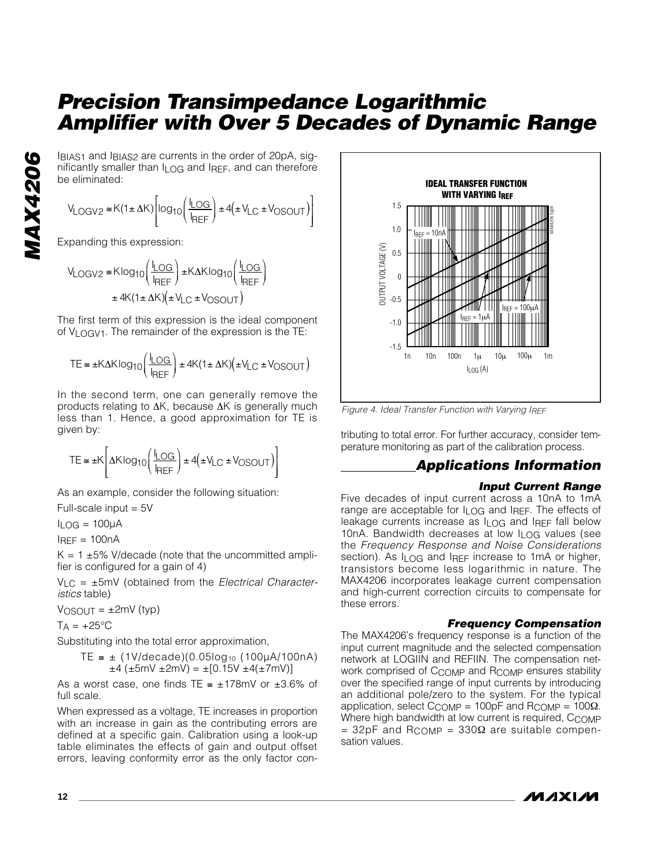IBIAS1 and IBIAS2 are currents in the order of 20pA, significantly smaller than ILOG and IREF, and can therefore be eliminated:

$$
V_{\text{LOGV2}} \cong K(1 \pm \Delta K) \left[ \log_{10} \left( \frac{I_{\text{LOG}}}{I_{\text{REF}}} \right) \pm 4 \left( \pm V_{\text{LC}} \pm V_{\text{OSOUT}} \right) \right]
$$

Expanding this expression:

$$
V_{LOGV2} \cong K \log_{10} \left( \frac{I_{LOG}}{I_{REF}} \right) \pm K \Delta K \log_{10} \left( \frac{I_{LOG}}{I_{REF}} \right)
$$

$$
\pm 4K (1 \pm \Delta K) \left( \pm V_{LC} \pm V_{OSOUT} \right)
$$

The first term of this expression is the ideal component of VLOGV1. The remainder of the expression is the TE:

$$
TE \cong \pm K\Delta K \log_{10}\left(\frac{I_{\text{LOG}}}{I_{\text{REF}}}\right) \pm 4K(1 \pm \Delta K)\left(\pm V_{\text{LC}} \pm V_{\text{OSOUT}}\right)
$$

In the second term, one can generally remove the products relating to ∆K, because ∆K is generally much less than 1. Hence, a good approximation for TE is given by:

$$
\mathsf{TE} \cong \pm \mathsf{K}\left[\Delta\mathsf{K}\log_{10}\left(\frac{\mathsf{I}\_\mathrm{OG}}{\mathsf{I}_{\sf REF}}\right) \pm 4\left(\pm \mathsf{V}_{\sf LC} \pm \mathsf{V}_{\sf OSOUT}\right)\right]
$$

As an example, consider the following situation:

Full-scale input = 5V

 $I_{I}$   $\cap$  G = 100 $\mu$ A

 $I$ RFF = 100 $nA$ 

 $K = 1 \pm 5\%$  V/decade (note that the uncommitted amplifier is configured for a gain of 4)

VLC = ±5mV (obtained from the *Electrical Characteristics* table)

 $V_{OSOUT} = \pm 2mV$  (typ)

 $TA = +25^{\circ}C$ 

Substituting into the total error approximation,

$$
TE \approx \pm (1V/\text{decade})(0.05\log_{10} (100\mu\text{A}/100\text{nA})
$$
  
 $\pm 4 (\pm 5\text{mV} \pm 2\text{mV}) = \pm [0.15V \pm 4(\pm 7\text{mV})]$ 

As a worst case, one finds TE  $\approx \pm 178$ mV or  $\pm 3.6\%$  of full scale.

When expressed as a voltage, TE increases in proportion with an increase in gain as the contributing errors are defined at a specific gain. Calibration using a look-up table eliminates the effects of gain and output offset errors, leaving conformity error as the only factor con-



*Figure 4. Ideal Transfer Function with Varying IREF*

tributing to total error. For further accuracy, consider temperature monitoring as part of the calibration process.

### *Applications Information*

### *Input Current Range*

Five decades of input current across a 10nA to 1mA range are acceptable for ILOG and IREF. The effects of leakage currents increase as ILOG and IREF fall below 10nA. Bandwidth decreases at low ILOG values (see the *Frequency Response and Noise Considerations* section). As I<sub>LOG</sub> and IREF increase to 1mA or higher, transistors become less logarithmic in nature. The MAX4206 incorporates leakage current compensation and high-current correction circuits to compensate for these errors.

### *Frequency Compensation*

The MAX4206's frequency response is a function of the input current magnitude and the selected compensation network at LOGIIN and REFIIN. The compensation network comprised of CCOMP and RCOMP ensures stability over the specified range of input currents by introducing an additional pole/zero to the system. For the typical application, select C<sub>COMP</sub> = 100pF and R<sub>COMP</sub> = 100Ω. Where high bandwidth at low current is required, CCOMP  $= 32pF$  and R<sub>COMP</sub> = 330 $\Omega$  are suitable compensation values.

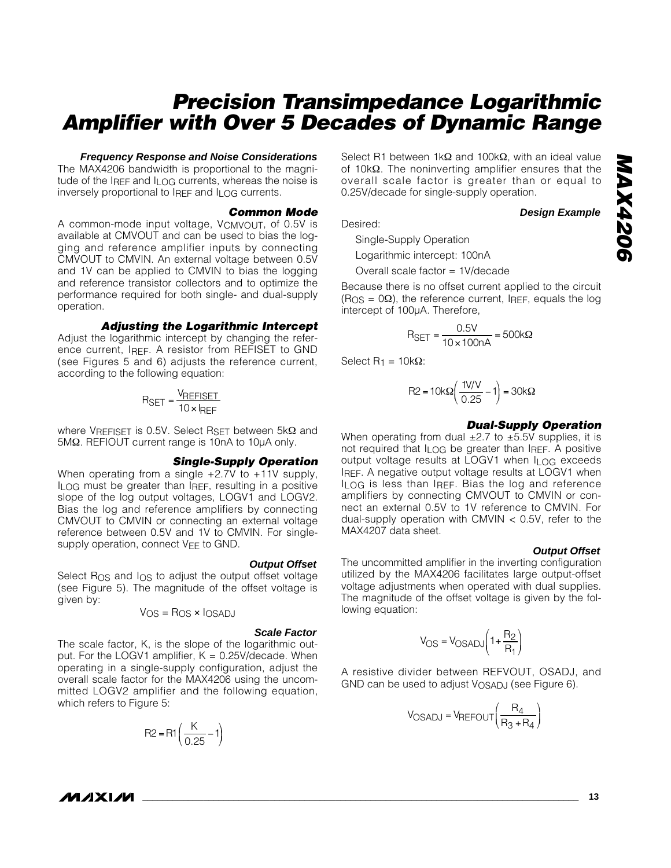#### **Frequency Response and Noise Considerations**

The MAX4206 bandwidth is proportional to the magnitude of the IREF and I<sub>LOG</sub> currents, whereas the noise is inversely proportional to IREF and ILOG currents.

#### *Common Mode*

A common-mode input voltage, VCMVOUT, of 0.5V is available at CMVOUT and can be used to bias the logging and reference amplifier inputs by connecting CMVOUT to CMVIN. An external voltage between 0.5V and 1V can be applied to CMVIN to bias the logging and reference transistor collectors and to optimize the performance required for both single- and dual-supply operation.

#### *Adjusting the Logarithmic Intercept*

Adjust the logarithmic intercept by changing the reference current, IREF. A resistor from REFISET to GND (see Figures 5 and 6) adjusts the reference current, according to the following equation:

$$
R_{SET} = \frac{V_{REFISET}}{10 \times I_{REF}}
$$

where VREFISET is 0.5V. Select RSET between 5kΩ and 5MΩ. REFIOUT current range is 10nA to 10µA only.

#### *Single-Supply Operation*

When operating from a single  $+2.7V$  to  $+11V$  supply,  $I<sub>1</sub>$  og must be greater than IgFF, resulting in a positive slope of the log output voltages, LOGV1 and LOGV2. Bias the log and reference amplifiers by connecting CMVOUT to CMVIN or connecting an external voltage reference between 0.5V and 1V to CMVIN. For singlesupply operation, connect V<sub>EE</sub> to GND.

#### **Output Offset**

Select R<sub>OS</sub> and I<sub>OS</sub> to adjust the output offset voltage (see Figure 5). The magnitude of the offset voltage is given by:

VOS = ROS ✕ IOSADJ

#### **Scale Factor**

The scale factor, K, is the slope of the logarithmic output. For the LOGV1 amplifier,  $K = 0.25V$ /decade. When operating in a single-supply configuration, adjust the overall scale factor for the MAX4206 using the uncommitted LOGV2 amplifier and the following equation, which refers to Figure 5:

$$
R2 = R1\left(\frac{K}{0.25} - 1\right)
$$

Select R1 between 1kΩ and 100kΩ, with an ideal value of 10kΩ. The noninverting amplifier ensures that the overall scale factor is greater than or equal to 0.25V/decade for single-supply operation.

**Design Example**

Desired:

Single-Supply Operation

Logarithmic intercept: 100nA

Overall scale factor = 1V/decade

Because there is no offset current applied to the circuit  $(R<sub>OS</sub> = 0<sub>Ω</sub>)$ , the reference current, IREF, equals the log intercept of 100µA. Therefore,

$$
R_{\text{SET}} = \frac{0.5V}{10 \times 100nA} = 500k\Omega
$$

Select  $R_1 = 10kΩ$ :

$$
R2 = 10k\Omega\left(\frac{1V/V}{0.25} - 1\right) = 30k\Omega
$$

#### *Dual-Supply Operation*

When operating from dual  $\pm 2.7$  to  $\pm 5.5V$  supplies, it is not required that  $I_1 \cap G$  be greater than IRFF. A positive output voltage results at LOGV1 when ILOG exceeds IREF. A negative output voltage results at LOGV1 when ILOG is less than IREF. Bias the log and reference amplifiers by connecting CMVOUT to CMVIN or connect an external 0.5V to 1V reference to CMVIN. For dual-supply operation with CMVIN < 0.5V, refer to the MAX4207 data sheet.

#### **Output Offset**

The uncommitted amplifier in the inverting configuration utilized by the MAX4206 facilitates large output-offset voltage adjustments when operated with dual supplies. The magnitude of the offset voltage is given by the following equation:

$$
V_{OS} = V_{OSADI}\left(1 + \frac{R_2}{R_1}\right)
$$

A resistive divider between REFVOUT, OSADJ, and GND can be used to adjust VOSADJ (see Figure 6).

$$
V_{OSADI} = V_{REFOUT}\left(\frac{R_4}{R_3 + R_4}\right)
$$

*IVI AXI AVI*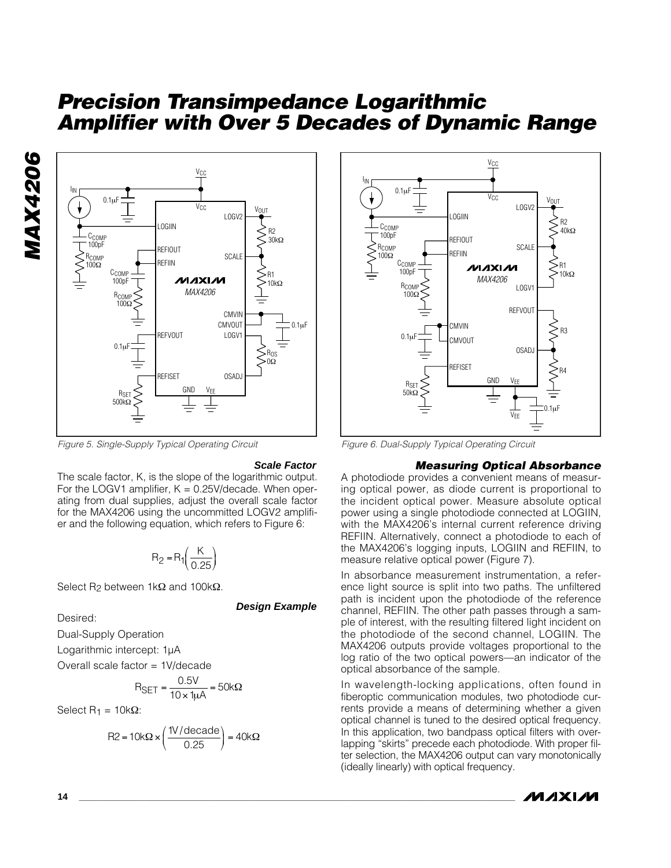

*Figure 5. Single-Supply Typical Operating Circuit*

#### **Scale Factor**

The scale factor, K, is the slope of the logarithmic output. For the LOGV1 amplifier,  $K = 0.25V$  decade. When operating from dual supplies, adjust the overall scale factor for the MAX4206 using the uncommitted LOGV2 amplifier and the following equation, which refers to Figure 6:

$$
R_2 = R_1 \left( \frac{K}{0.25} \right)
$$

Select R<sub>2</sub> between 1kΩ and 100kΩ.

**Design Example**

Desired:

Dual-Supply Operation

Logarithmic intercept: 1µA

Overall scale factor = 1V/decade

$$
R_{\text{SET}} = \frac{0.5V}{10 \times 1 \mu \text{A}} = 50 \text{k}\Omega
$$

Select  $R_1 = 10kΩ$ :

$$
R2 = 10k\Omega \times \left(\frac{1V/\text{decade}}{0.25}\right) = 40k\Omega
$$



*Figure 6. Dual-Supply Typical Operating Circuit*

#### *Measuring Optical Absorbance*

A photodiode provides a convenient means of measuring optical power, as diode current is proportional to the incident optical power. Measure absolute optical power using a single photodiode connected at LOGIIN, with the MAX4206's internal current reference driving REFIIN. Alternatively, connect a photodiode to each of the MAX4206's logging inputs, LOGIIN and REFIIN, to measure relative optical power (Figure 7).

In absorbance measurement instrumentation, a reference light source is split into two paths. The unfiltered path is incident upon the photodiode of the reference channel, REFIIN. The other path passes through a sample of interest, with the resulting filtered light incident on the photodiode of the second channel, LOGIIN. The MAX4206 outputs provide voltages proportional to the log ratio of the two optical powers—an indicator of the optical absorbance of the sample.

In wavelength-locking applications, often found in fiberoptic communication modules, two photodiode currents provide a means of determining whether a given optical channel is tuned to the desired optical frequency. In this application, two bandpass optical filters with overlapping "skirts" precede each photodiode. With proper filter selection, the MAX4206 output can vary monotonically (ideally linearly) with optical frequency.

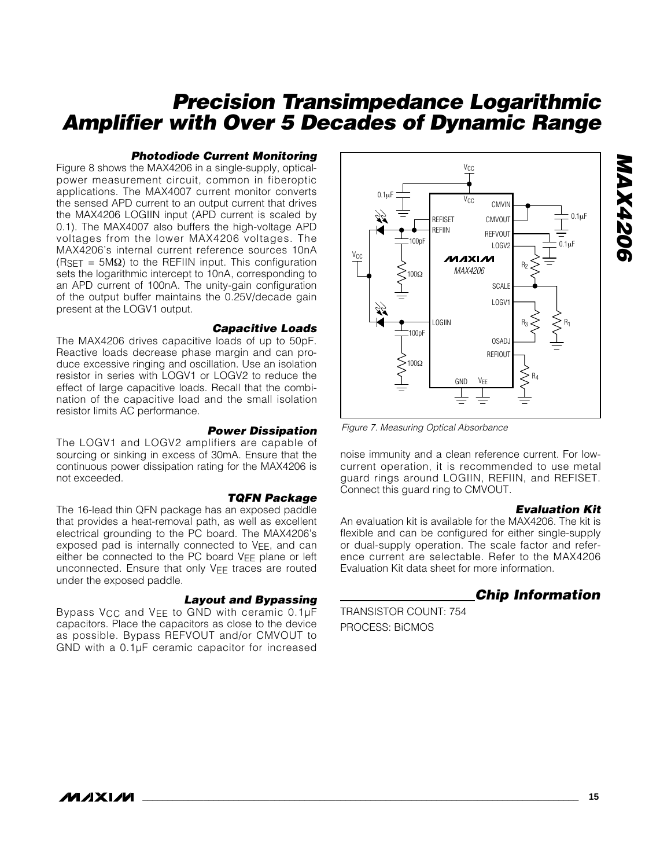#### *Photodiode Current Monitoring*

Figure 8 shows the MAX4206 in a single-supply, opticalpower measurement circuit, common in fiberoptic applications. The MAX4007 current monitor converts the sensed APD current to an output current that drives the MAX4206 LOGIIN input (APD current is scaled by 0.1). The MAX4007 also buffers the high-voltage APD voltages from the lower MAX4206 voltages. The MAX4206's internal current reference sources 10nA  $(RSET = 5M<sub>\Omega</sub>)$  to the REFIIN input. This configuration sets the logarithmic intercept to 10nA, corresponding to an APD current of 100nA. The unity-gain configuration of the output buffer maintains the 0.25V/decade gain present at the LOGV1 output.

#### *Capacitive Loads*

The MAX4206 drives capacitive loads of up to 50pF. Reactive loads decrease phase margin and can produce excessive ringing and oscillation. Use an isolation resistor in series with LOGV1 or LOGV2 to reduce the effect of large capacitive loads. Recall that the combination of the capacitive load and the small isolation resistor limits AC performance.

#### *Power Dissipation*

The LOGV1 and LOGV2 amplifiers are capable of sourcing or sinking in excess of 30mA. Ensure that the continuous power dissipation rating for the MAX4206 is not exceeded.

#### *TQFN Package*

The 16-lead thin QFN package has an exposed paddle that provides a heat-removal path, as well as excellent electrical grounding to the PC board. The MAX4206's exposed pad is internally connected to  $V_{EE}$ , and can either be connected to the PC board VEE plane or left unconnected. Ensure that only VEE traces are routed under the exposed paddle.

#### *Layout and Bypassing*

Bypass  $V_{CC}$  and  $V_{EE}$  to GND with ceramic 0.1µF capacitors. Place the capacitors as close to the device as possible. Bypass REFVOUT and/or CMVOUT to GND with a 0.1µF ceramic capacitor for increased



*Figure 7. Measuring Optical Absorbance*

noise immunity and a clean reference current. For lowcurrent operation, it is recommended to use metal guard rings around LOGIIN, REFIIN, and REFISET. Connect this guard ring to CMVOUT.

#### *Evaluation Kit*

*MAX4206*

**MAX4206** 

An evaluation kit is available for the MAX4206. The kit is flexible and can be configured for either single-supply or dual-supply operation. The scale factor and reference current are selectable. Refer to the MAX4206 Evaluation Kit data sheet for more information.

### *Chip Information*

TRANSISTOR COUNT: 754 PROCESS: BiCMOS

*IVI AXI AVI*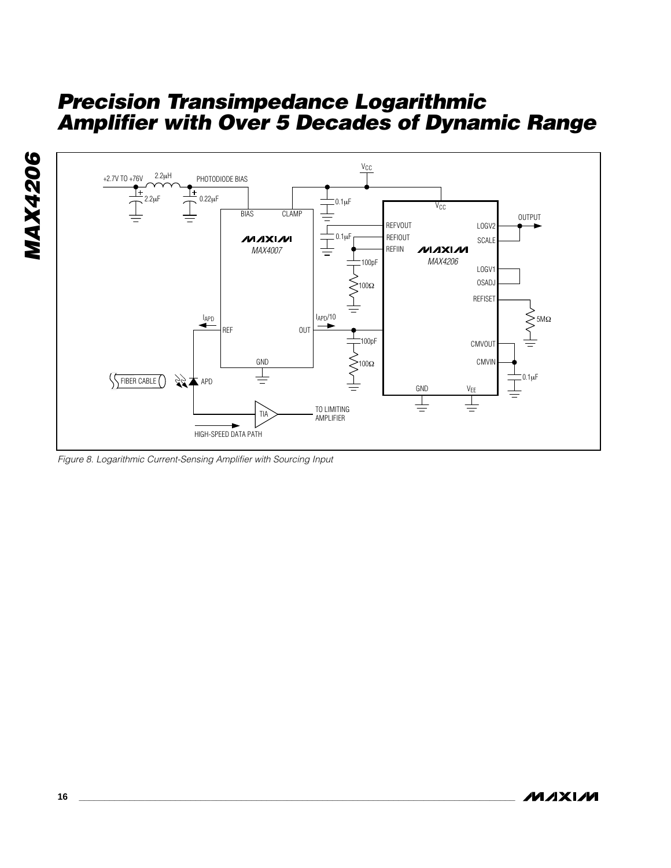



*Figure 8. Logarithmic Current-Sensing Amplifier with Sourcing Input*